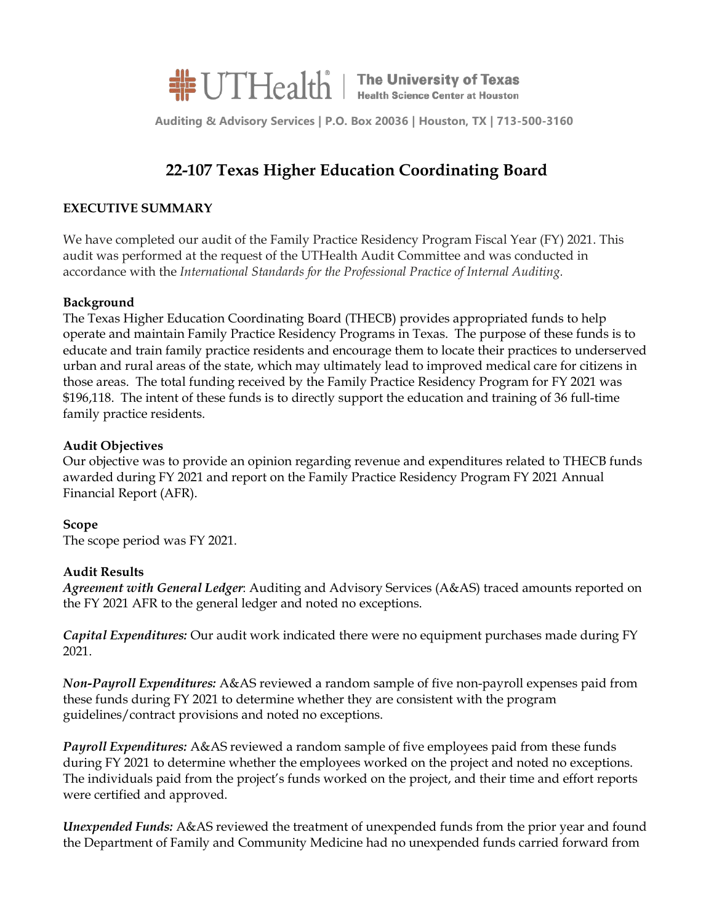

**Auditing & Advisory Services | P.O. Box 20036 | Houston, TX | 713-500-3160**

# **22-107 Texas Higher Education Coordinating Board**

# **EXECUTIVE SUMMARY**

We have completed our audit of the Family Practice Residency Program Fiscal Year (FY) 2021. This audit was performed at the request of the UTHealth Audit Committee and was conducted in accordance with the *International Standards for the Professional Practice of Internal Auditing.*

## **Background**

The Texas Higher Education Coordinating Board (THECB) provides appropriated funds to help operate and maintain Family Practice Residency Programs in Texas. The purpose of these funds is to educate and train family practice residents and encourage them to locate their practices to underserved urban and rural areas of the state, which may ultimately lead to improved medical care for citizens in those areas. The total funding received by the Family Practice Residency Program for FY 2021 was \$196,118. The intent of these funds is to directly support the education and training of 36 full-time family practice residents.

## **Audit Objectives**

Our objective was to provide an opinion regarding revenue and expenditures related to THECB funds awarded during FY 2021 and report on the Family Practice Residency Program FY 2021 Annual Financial Report (AFR).

## **Scope**

The scope period was FY 2021.

## **Audit Results**

*Agreement with General Ledger*: Auditing and Advisory Services (A&AS) traced amounts reported on the FY 2021 AFR to the general ledger and noted no exceptions.

*Capital Expenditures:* Our audit work indicated there were no equipment purchases made during FY 2021.

*Non-Payroll Expenditures:* A&AS reviewed a random sample of five non-payroll expenses paid from these funds during FY 2021 to determine whether they are consistent with the program guidelines/contract provisions and noted no exceptions.

*Payroll Expenditures:* A&AS reviewed a random sample of five employees paid from these funds during FY 2021 to determine whether the employees worked on the project and noted no exceptions. The individuals paid from the project's funds worked on the project, and their time and effort reports were certified and approved.

*Unexpended Funds:* A&AS reviewed the treatment of unexpended funds from the prior year and found the Department of Family and Community Medicine had no unexpended funds carried forward from